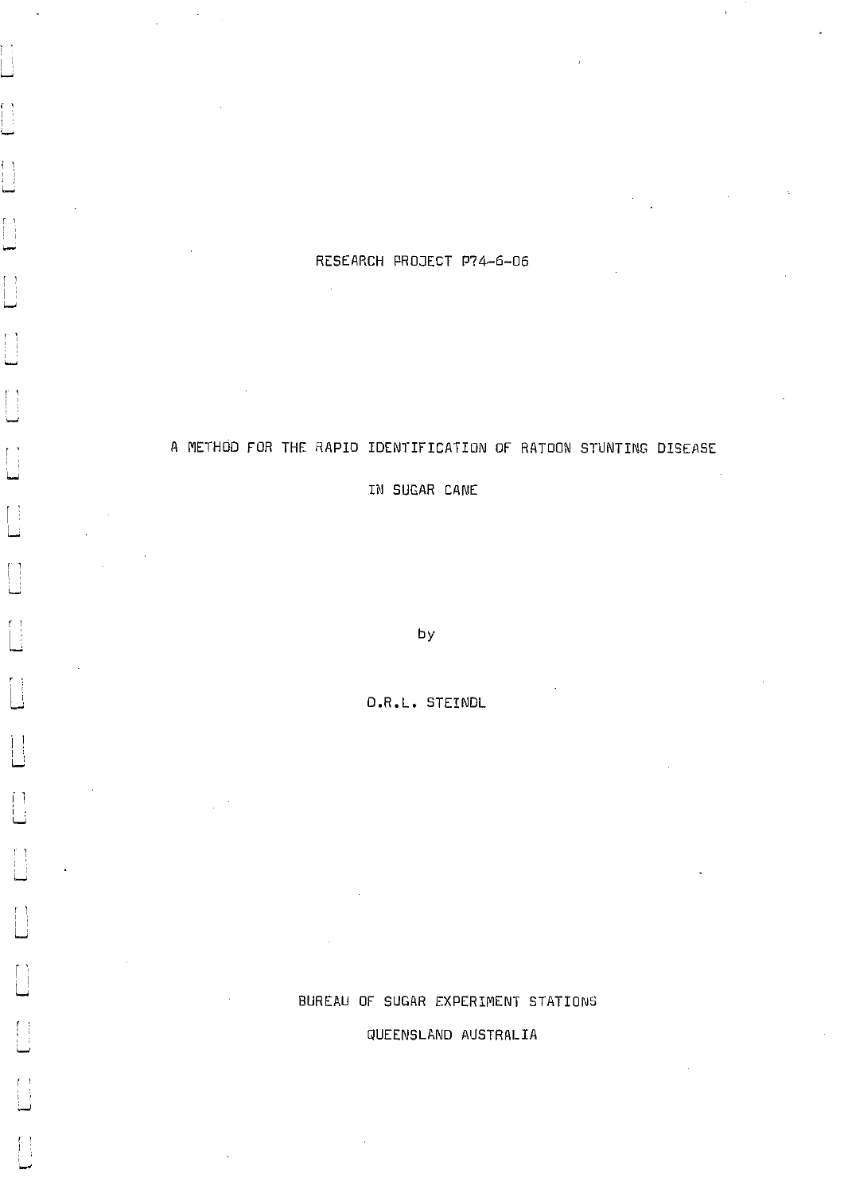# RESEARCH PROJECT P74-6-06

 $\mathcal{L}$ 

f

 $\lceil$ 

 $\lceil$ 

 $\left\{\begin{array}{c} 1 \\ 1 \end{array}\right\}$ L

j.

∐

 $\begin{bmatrix} 1 \end{bmatrix}$ 

 $\overline{\mathbb{L}}$ 

# A METHOD FOR THE RAPID IDENTIFICATION OF RATOON STUNTING DISEASE

IN SUGAR CANE

by

D.R.L. STEINDL

# BUREAU OF SUGAR EXPERIMENT STATIONS

QUEENSLAND AUSTRALIA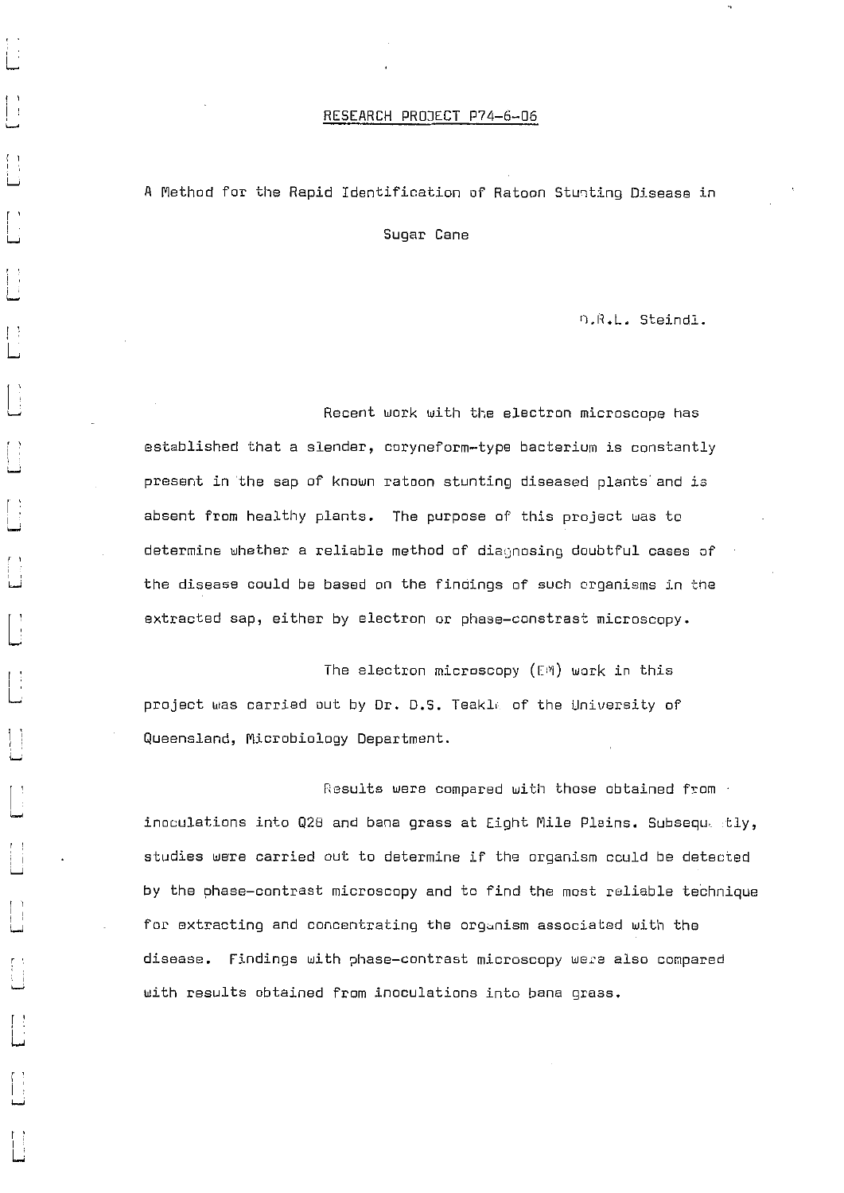### RESEARCH PROJECT P74-6-06

# A Method for the Rapid Identification of Ratoon Stunting Disease in

Sugar Cane

n.R.L. Steindl.

Recent work with the electron microscope has established that a slender, coryneform-type bacterium is constantly present in the sap of known ratoon stunting diseased plants and is absent from healthy plants. The purpose of this project was to determine whether a reliable method of diagnosing doubtful cases of the disease could be based on the findings of such organisms in the extracted sap, either by electron or phase-constrast microscopy.

The electron microscopy (EM) work in this project was carried out by Dr. D.S. Teakle of the University of Queensland, Microbiology Department.

Results were compared with those obtained from inoculations into Q28 and bane grass at Eight Mile Plains. Subsequ, tly, studies were carried out to determine if the organism could be detected by the phase-contrast microscopy and to find the most reliable technique for extracting and concentrating the organism associated with the disease. Findings with phase-contrast microscopy were also compared with results obtained from inoculations into bana grass.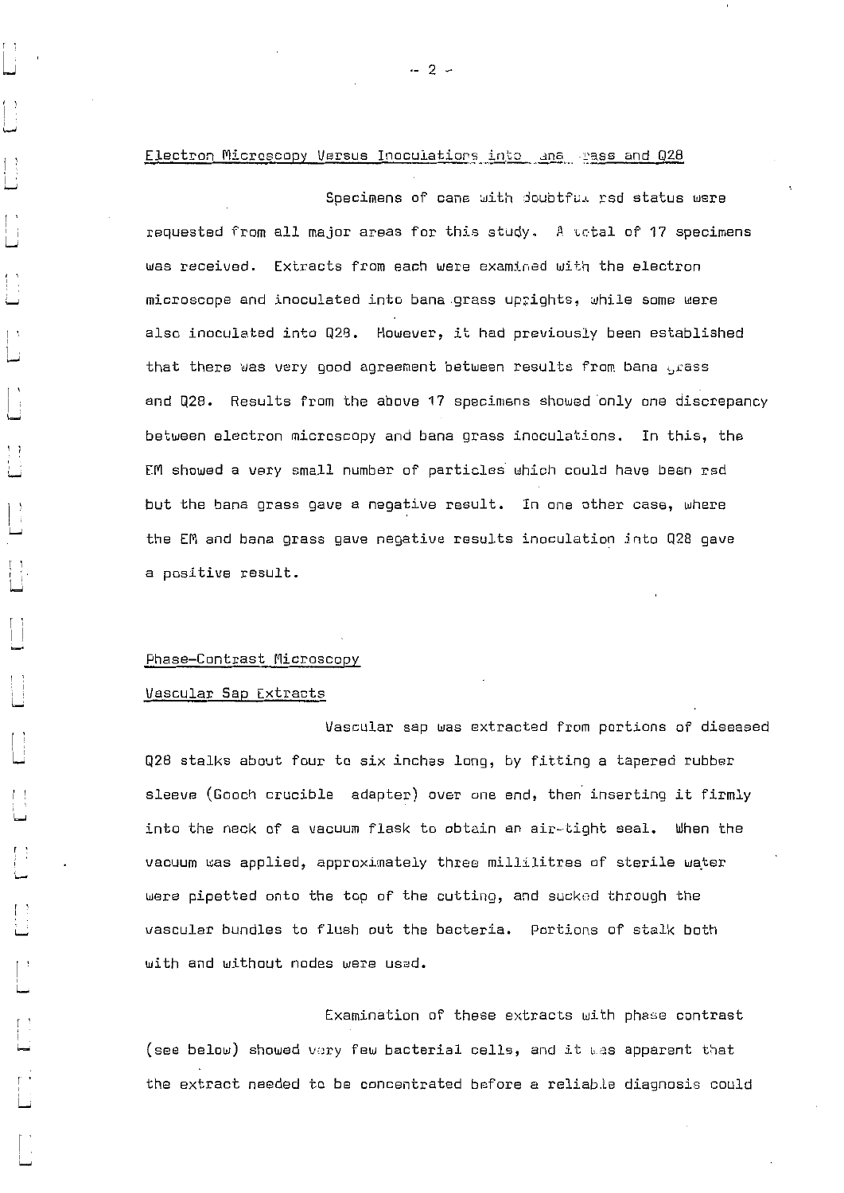## Electron Microscopy Versus Inoculations into ana . rass and Q28

Specimens of cane with doubtful rsd status were requested from all major areas for this study. A ustal of 17 specimens was received. Extracts from each were examined with the electron microscope and inoculated into bane .grass uprights, while some were also inoculated into Q28. However, it had previously been established that there was very good agreement between results from bana grass and Q28. Results from the above 17 specimens showed 'only one discrepancy between electron microscopy and bans grass inoculations. In this, the EM showed a very small number of particles which could have been rsd but the bane grass gave a negative result. In one other case, where the EM and bana grass gave negative results inoculation into Q28 gave a positive result.

#### Phase—Contrast Microscopy

#### Vascular Sap Extracts

Vascular sap was extracted from portions of diseased Q28 stalks about four to six inches long, by fitting a tapered rubber sleeve (Gooch crucible adapter) over one end, then inserting it firmly into the neck of a vacuum flask to obtain an air—Light seal. When the vacuum was applied, approximately three millilitres of sterile water were pipetted onto the top of the cutting, and sucked through the vascular bundles to flush out the bacteria. Portions of stalk both with and without nodes were used.

Examination of these extracts with phase contrast (see below) showed very few bacterial cells, and it was apparent that the extract needed to be concentrated before e reliable diagnosis could

 $-2 -$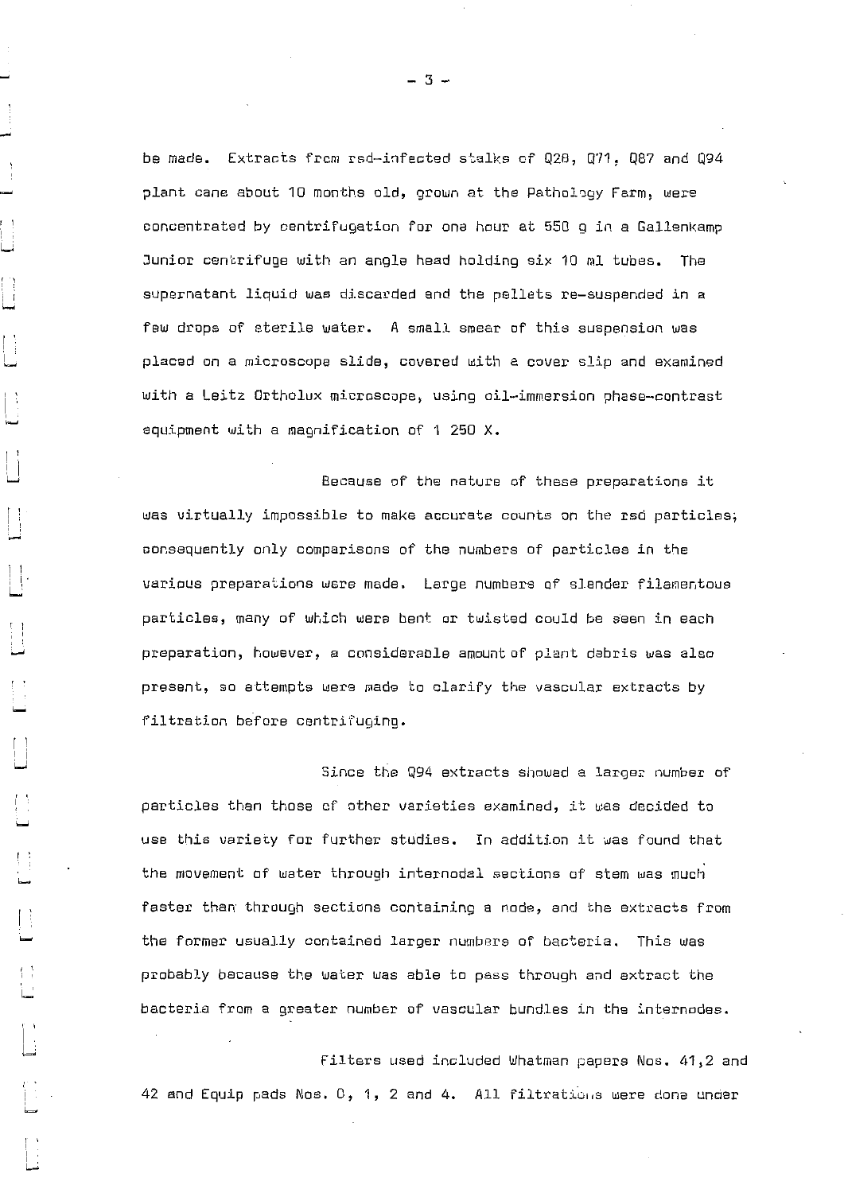be made. Extracts from rsd-infected stalks of Q28, Q71, Q87 and Q94 plant cane about 10 months old, grown at the pathology Farm, were concentrated by centrifugation for one hour at 550 a in a Gallenkamp Junior centrifuge with an angle head holding six 10 ml tubes. The supernatant liquid was discarded and the pellets re—suspended in a few drops of sterile water. A small smear of this suspension was placed on a microscope slide, covered with a cover slip and examined with a Leitz Ortholux microscope, using oil—immersion phase—contrast equipment with a magnification of 1 250 X.

Because of the nature of these preparations it was virtually impossible to make accurate counts on the rsd particles; consequently only comparisons of the numbers of particles in the various preparations were made. Large numbers of slender filamentous particles, many of which were bent or twisted could be seen in each preparation, however, a considerable amount of plant debris was also present, so attempts were made to clarify the vascular extracts by filtration before centrifuging.

Since the Q94 extracts showed a larger number of particles than those of other varieties examined, it was decided to use this variety for further studies. In addition it was found that the movement of water through internodal sections of stem was much faster than through sections containing a node, and the extracts from the former usually contained larger numbers of bacteria. This was probably because the water was able to pass through and extract the bacteria from a greater number of vascular bundles in the internodes.

Filters used included Whatman papers Nos. 41,2 and 42 and Equip pads Nos.  $0, 1, 2$  and 4. All filtrations were done under

— 3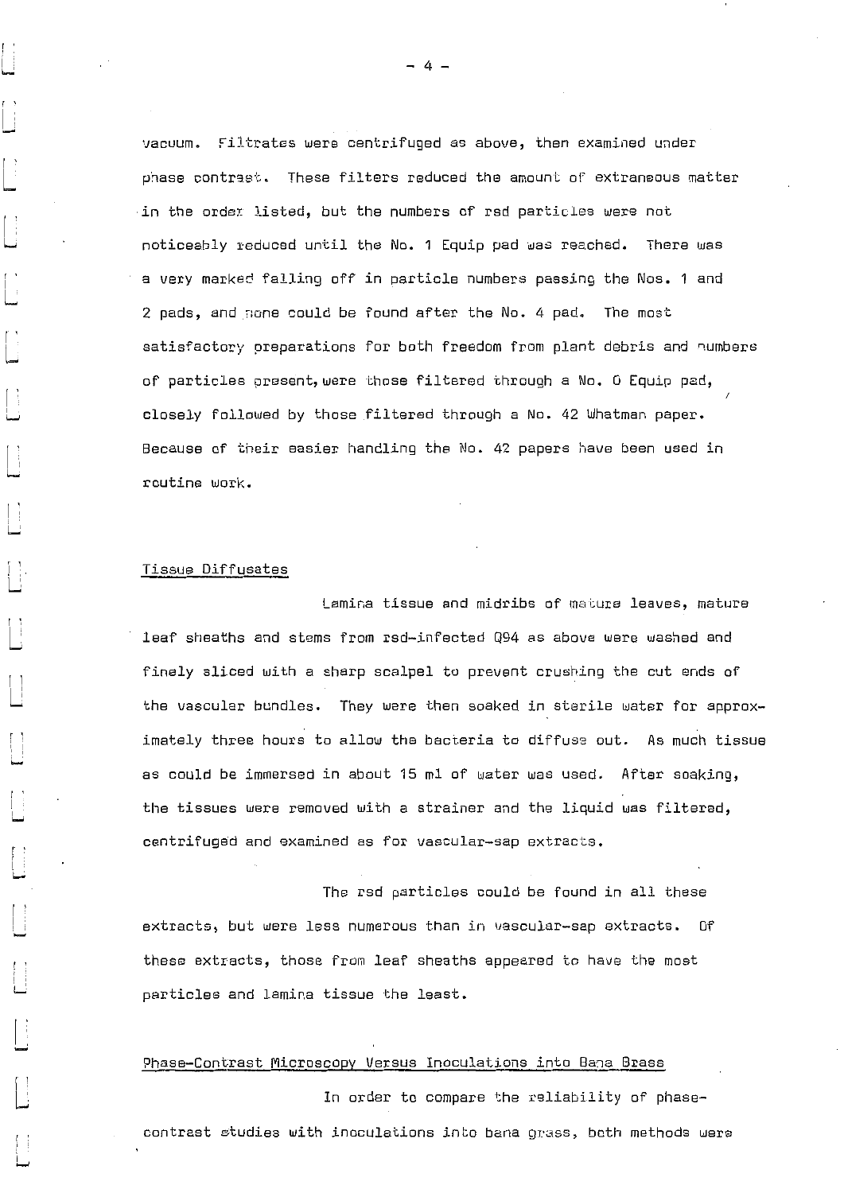vacuum. Filtrates were centrifuged as above, then examined under phase contrast. These filters reduced the amount of extraneous matter .in the order listed, but the numbers of rsd particles were not noticeably reduced until the No. 1 Equip pad was reached. There was a very marked falling off in particle numbers passing the Nos. 1 and 2 pads, and none could be found after the No. 4 pad. The most satisfactory preparations for both freedom from plant debris and numbers of particles present,were those filtered through a No. 0 Equip pad, closely followed by those filtered through a No. 42 Whatman paper. Because of their easier handling the No. 42 papers have been used in routine work.

#### Tissue Diffusates

Lamina tissue and midribs of mature leaves, mature leaf sheaths and stems from rsd-infected Q94 as above were washed and finely sliced with a sharp scalpel to prevent crushing the cut ends of the vascular bundles. They were then soaked in sterile water for approximately three hours to allow the bacteria to diffuse out. As much tissue as could be immersed in about 15 ml of water was used. After soaking, the tissues were removed with a strainer and the liquid was filtered, centrifuged and examined as for vascular-sap extracts.

The rsd particles could be found in all these extracts, but were less numerous than in vascular-sap extracts. Of these extracts, those from leaf sheaths appeared to have the most particles and lamina tissue the least.

## Phase-Contrast Microscopy Versus Inoculations into Bane Brass

In order to compare the reliability of phasecontrast studies with inoculations into bana grass, both methods were

 $-4 -$